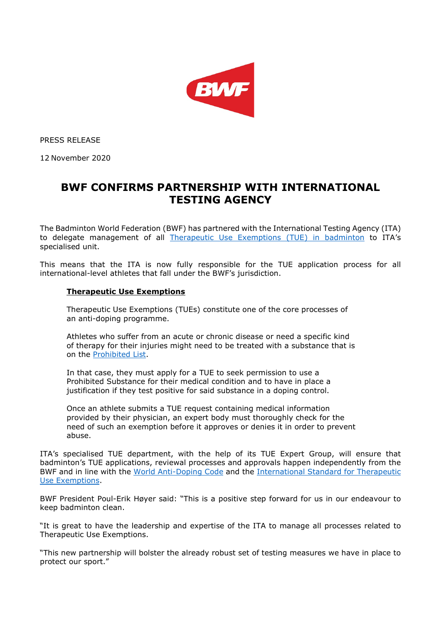

PRESS RELEASE

12 November 2020

# **BWF CONFIRMS PARTNERSHIP WITH INTERNATIONAL TESTING AGENCY**

The Badminton World Federation (BWF) has partnered with the International Testing Agency (ITA) to delegate management of all [Therapeutic Use Exemptions \(TUE\) in badminton](https://corporate.bwfbadminton.com/integrity/tue-medications/) to ITA's specialised unit.

This means that the ITA is now fully responsible for the TUE application process for all international-level athletes that fall under the BWF's jurisdiction.

## **Therapeutic Use Exemptions**

Therapeutic Use Exemptions (TUEs) constitute one of the core processes of an anti-doping programme.

Athletes who suffer from an acute or chronic disease or need a specific kind of therapy for their injuries might need to be treated with a substance that is on the [Prohibited List.](https://www.wada-ama.org/en/resources/science-medicine/prohibited-list-documents)

In that case, they must apply for a TUE to seek permission to use a Prohibited Substance for their medical condition and to have in place a justification if they test positive for said substance in a doping control.

Once an athlete submits a TUE request containing medical information provided by their physician, an expert body must thoroughly check for the need of such an exemption before it approves or denies it in order to prevent abuse.

ITA's specialised TUE department, with the help of its TUE Expert Group, will ensure that badminton's TUE applications, reviewal processes and approvals happen independently from the BWF and in line with the [World Anti-Doping Code](https://www.wada-ama.org/en/resources/the-code/world-anti-doping-code) and the [International Standard for Therapeutic](https://www.wada-ama.org/en/resources/therapeutic-use-exemption-tue/international-standard-for-therapeutic-use-exemptions-istue)  [Use Exemptions.](https://www.wada-ama.org/en/resources/therapeutic-use-exemption-tue/international-standard-for-therapeutic-use-exemptions-istue)

BWF President Poul-Erik Høyer said: "This is a positive step forward for us in our endeavour to keep badminton clean.

"It is great to have the leadership and expertise of the ITA to manage all processes related to Therapeutic Use Exemptions.

"This new partnership will bolster the already robust set of testing measures we have in place to protect our sport."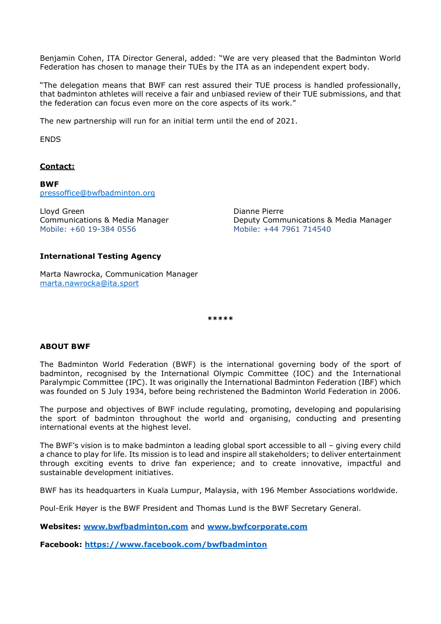Benjamin Cohen, ITA Director General, added: "We are very pleased that the Badminton World Federation has chosen to manage their TUEs by the ITA as an independent expert body.

"The delegation means that BWF can rest assured their TUE process is handled professionally, that badminton athletes will receive a fair and unbiased review of their TUE submissions, and that the federation can focus even more on the core aspects of its work."

The new partnership will run for an initial term until the end of 2021.

ENDS

## **Contact:**

**BWF** [pressoffice@bwfbadminton.org](mailto:pressoffice@bwfbadminton.org)

Lloyd Green Communications & Media Manager Mobile: +60 19-384 0556

Dianne Pierre Deputy Communications & Media Manager Mobile: +44 7961 714540

### **International Testing Agency**

Marta Nawrocka, Communication Manager [marta.nawrocka@ita.sport](mailto:marta.nawrocka@ita.sport)

**\*\*\*\*\***

### **ABOUT BWF**

The Badminton World Federation (BWF) is the international governing body of the sport of badminton, recognised by the International Olympic Committee (IOC) and the International Paralympic Committee (IPC). It was originally the International Badminton Federation (IBF) which was founded on 5 July 1934, before being rechristened the Badminton World Federation in 2006.

The purpose and objectives of BWF include regulating, promoting, developing and popularising the sport of badminton throughout the world and organising, conducting and presenting international events at the highest level.

The BWF's vision is to make badminton a leading global sport accessible to all – giving every child a chance to play for life. Its mission is to lead and inspire all stakeholders; to deliver entertainment through exciting events to drive fan experience; and to create innovative, impactful and sustainable development initiatives.

BWF has its headquarters in Kuala Lumpur, Malaysia, with 196 Member Associations worldwide.

Poul-Erik Høyer is the BWF President and Thomas Lund is the BWF Secretary General.

**Websites: [www.bwfbadminton.com](http://www.bwfbadminton.com/)** and **[www.bwfcorporate.com](http://www.bwfcorporate.com/)**

**Facebook:<https://www.facebook.com/bwfbadminton>**